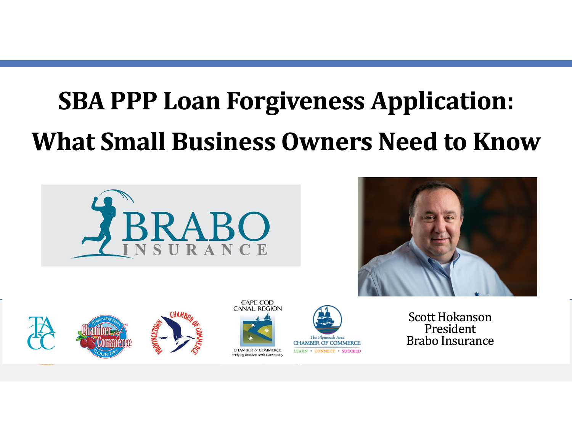## **SBA PPP Loan Forgiveness Application: What Small Business Owners Need to Know**











Scott Hokanson PresidentBrabo Insurance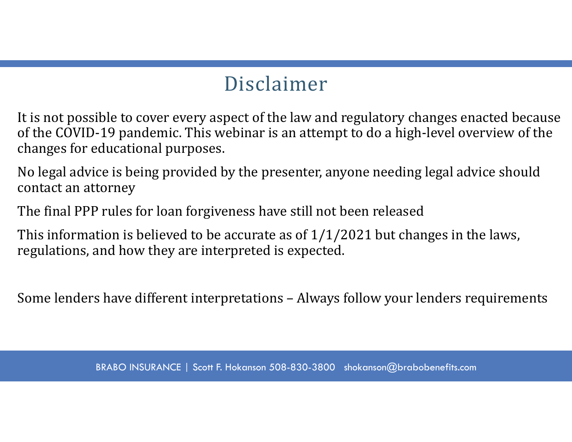## Disclaimer

It is not possible to cover every aspect of the law and regulatory changes enacted because of the COVID-19 pandemic. This webinar is an attempt to do a high-level overview of the changes for educational purposes.

No legal advice is being provided by the presenter, anyone needing legal advice should contact an attorney

The final PPP rules for loan forgiveness have still not been released

This information is believed to be accurate as of  $1/1/2021$  but changes in the laws, regulations, and how they are interpreted is expected.

Some lenders have different interpretations – Always follow your lenders requirements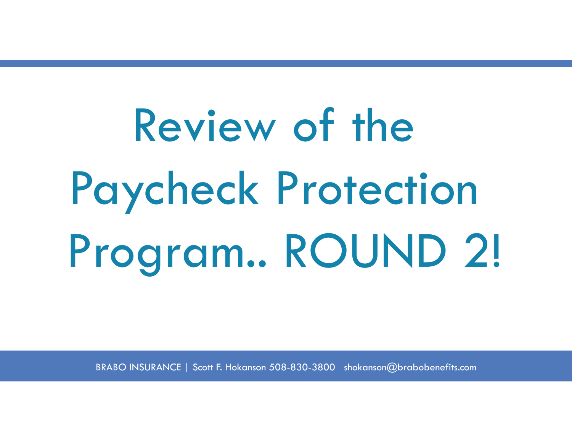Review of the Paycheck Protection Program.. ROUND 2!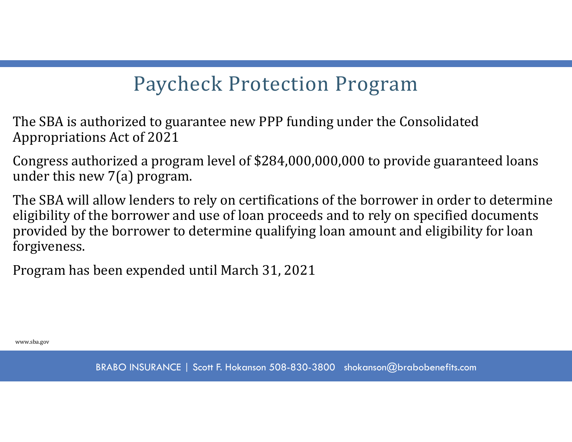## Paycheck Protection Program

The SBA is authorized to guarantee new PPP funding under the Consolidated Appropriations Act of 2021

Congress authorized a program level of \$284,000,000,000 to provide guaranteed loans under this new 7(a) program.

The SBA will allow lenders to rely on certifications of the borrower in order to determine eligibility of the borrower and use of loan proceeds and to rely on specified documents provided by the borrower to determine qualifying loan amount and eligibility for loan forgiveness.

Program has been expended until March 31, 2021

www.sba.gov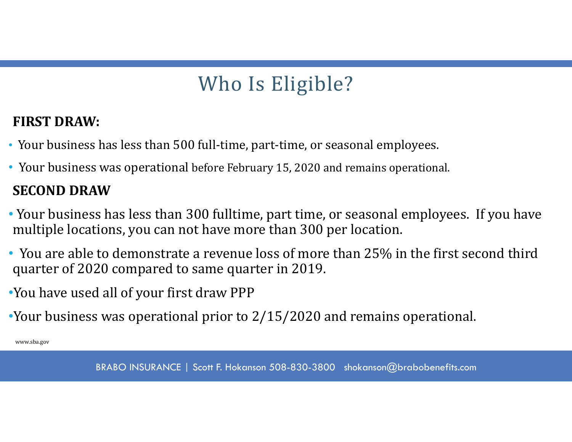## Who Is Eligible?

#### **FIRST DRAW:**

- Your business has less than 500 full-time, part-time, or seasonal employees.
- Your business was operational before February 15, 2020 and remains operational.

#### **SECOND DRAW**

- Your business has less than 300 fulltime, part time, or seasonal employees. If you have multiple locations, you can not have more than 300 per location.
- You are able to demonstrate a revenue loss of more than 25% in the first second third quarter of 2020 compared to same quarter in 2019.
- •You have used all of your first draw PPP
- •Your business was operational prior to 2/15/2020 and remains operational.

www.sba.gov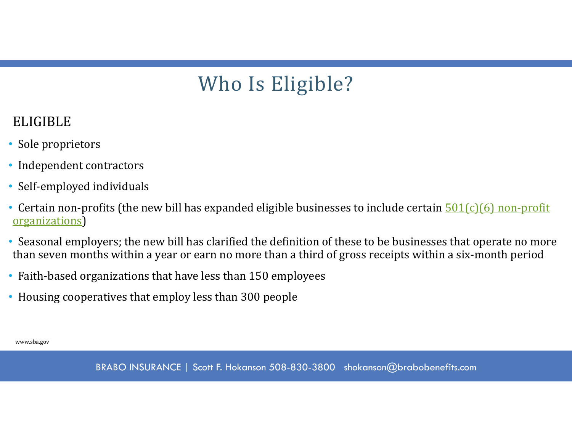## Who Is Eligible?

#### ELIGIBLE

- Sole proprietors
- Independent contractors
- Self-employed individuals
- Certain non-profits (the new bill has expanded eligible businesses to include certain  $\frac{501(c)(6)$  non-profit organizations)
- Seasonal employers; the new bill has clarified the definition of these to be businesses that operate no more than seven months within a year or earn no more than a third of gross receipts within a six-month period
- Faith-based organizations that have less than 150 employees
- Housing cooperatives that employ less than 300 people

www.sba.gov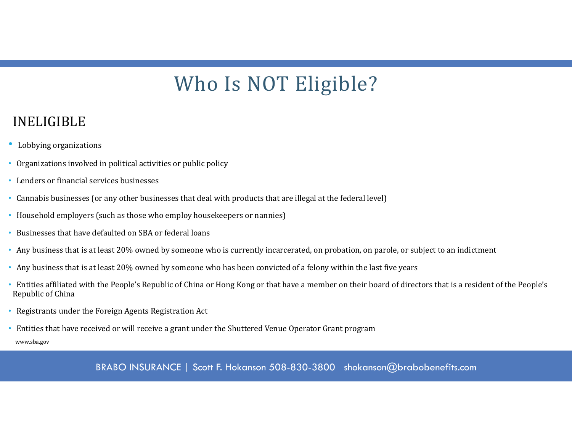## Who Is NOT Eligible?

#### INELIGIBLE

- Lobbying organizations
- Organizations involved in political activities or public policy
- Lenders or financial services businesses
- Cannabis businesses (or any other businesses that deal with products that are illegal at the federal level)
- Household employers (such as those who employ housekeepers or nannies)
- Businesses that have defaulted on SBA or federal loans
- Any business that is at least 20% owned by someone who is currently incarcerated, on probation, on parole, or subject to an indictment
- Any business that is at least 20% owned by someone who has been convicted of a felony within the last five years
- Entities affiliated with the People's Republic of China or Hong Kong or that have a member on their board of directors that is a resident of the People's Republic of China
- Registrants under the Foreign Agents Registration Act
- Entities that have received or will receive a grant under the Shuttered Venue Operator Grant program

www.sba.gov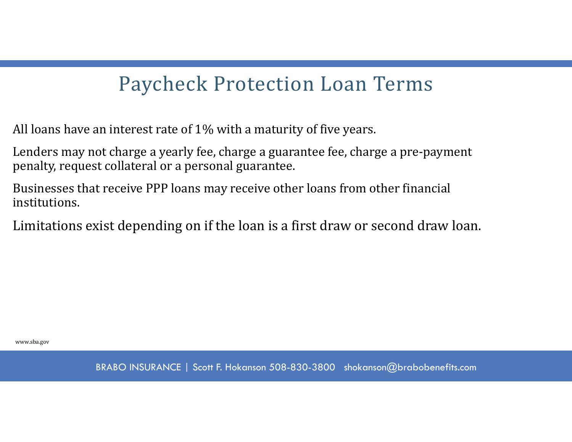All loans have an interest rate of 1% with a maturity of five years.

Lenders may not charge a yearly fee, charge a guarantee fee, charge a pre-payment penalty, request collateral or a personal guarantee.

Businesses that receive PPP loans may receive other loans from other financial institutions.

Limitations exist depending on if the loan is a first draw or second draw loan.

www.sba.gov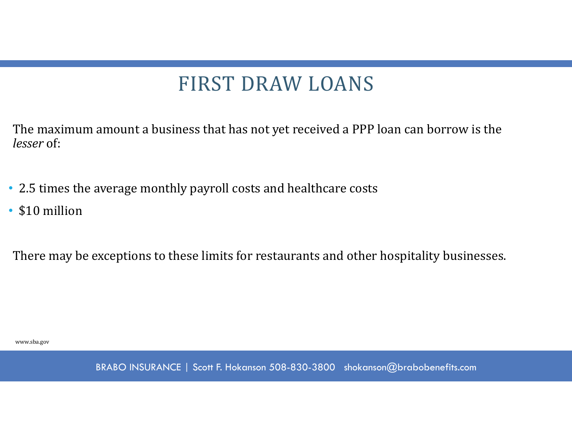## FIRST DRAW LOANS

The maximum amount a business that has not yet received a PPP loan can borrow is the *lesser* of:

- 2.5 times the average monthly payroll costs and healthcare costs
- \$10 million

There may be exceptions to these limits for restaurants and other hospitality businesses.

www.sba.gov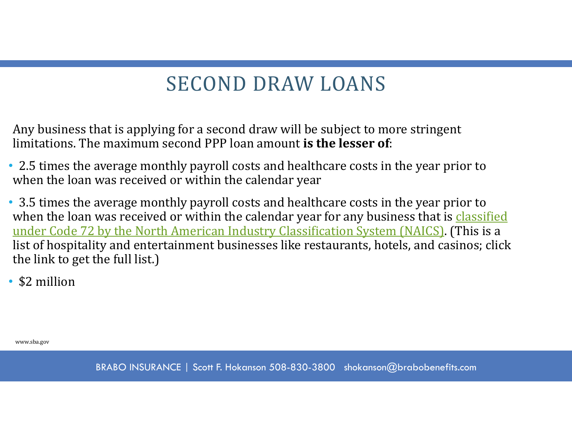## SECOND DRAW LOANS

Any business that is applying for a second draw will be subject to more stringent limitations. The maximum second PPP loan amount **is the lesser of**:

- 2.5 times the average monthly payroll costs and healthcare costs in the year prior to when the loan was received or within the calendar year
- 3.5 times the average monthly payroll costs and healthcare costs in the year prior to when the loan was received or within the calendar year for any business that is classified under Code 72 by the North American Industry Classification System (NAICS). (This is a list of hospitality and entertainment businesses like restaurants, hotels, and casinos; click the link to get the full list.)
- \$2 million

www.sba.gov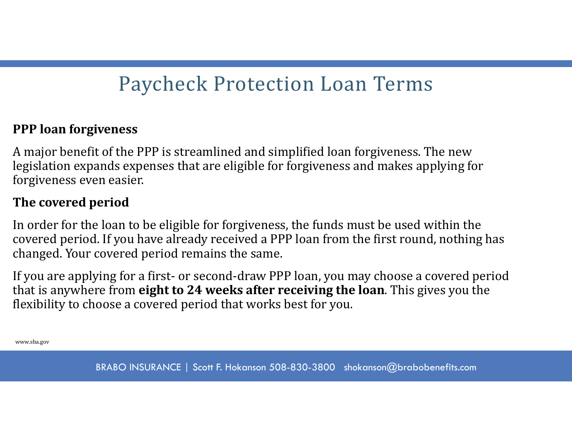#### **PPP loan forgiveness**

A major benefit of the PPP is streamlined and simplified loan forgiveness. The new legislation expands expenses that are eligible for forgiveness and makes applying for forgiveness even easier.

#### **The covered period**

In order for the loan to be eligible for forgiveness, the funds must be used within the covered period. If you have already received a PPP loan from the first round, nothing has changed. Your covered period remains the same.

If you are applying for a first- or second-draw PPP loan, you may choose a covered period that is anywhere from **eight to 24 weeks after receiving the loan**. This gives you the flexibility to choose a covered period that works best for you.

www.sba.gov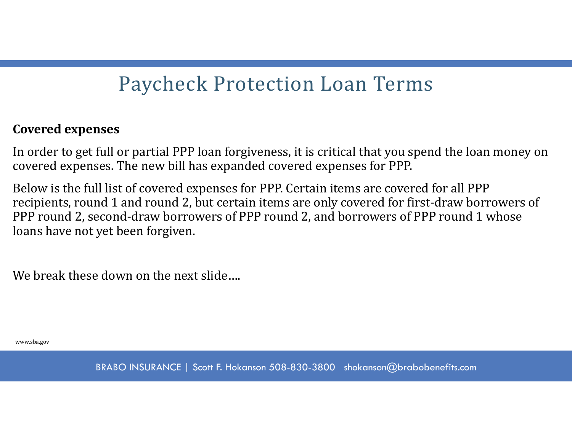#### **Covered expenses**

In order to get full or partial PPP loan forgiveness, it is critical that you spend the loan money on covered expenses. The new bill has expanded covered expenses for PPP.

Below is the full list of covered expenses for PPP. Certain items are covered for all PPP recipients, round 1 and round 2, but certain items are only covered for first-draw borrowers of PPP round 2, second-draw borrowers of PPP round 2, and borrowers of PPP round 1 whose loans have not yet been forgiven.

We break these down on the next slide....

www.sba.gov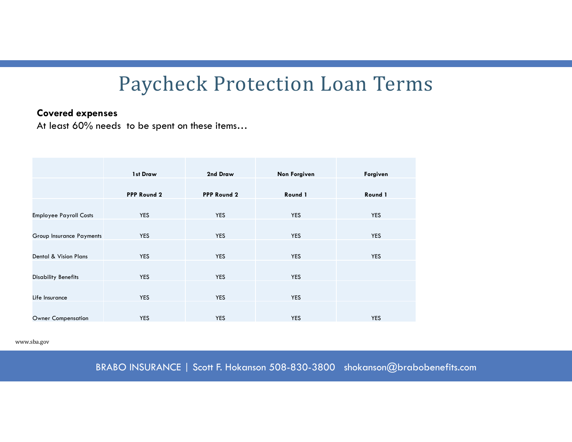#### **Covered expenses**

At least 60% needs to be spent on these items…

|                               | 1st Draw           | 2nd Draw    | Non Forgiven | Forgiven   |
|-------------------------------|--------------------|-------------|--------------|------------|
|                               | <b>PPP Round 2</b> | PPP Round 2 | Round 1      | Round 1    |
|                               |                    |             |              |            |
| <b>Employee Payroll Costs</b> | <b>YES</b>         | <b>YES</b>  | <b>YES</b>   | <b>YES</b> |
|                               |                    |             |              |            |
| Group Insurance Payments      | <b>YES</b>         | <b>YES</b>  | <b>YES</b>   | <b>YES</b> |
|                               |                    |             |              |            |
| Dental & Vision Plans         | <b>YES</b>         | <b>YES</b>  | <b>YES</b>   | <b>YES</b> |
|                               |                    |             |              |            |
| <b>Disability Benefits</b>    | <b>YES</b>         | <b>YES</b>  | <b>YES</b>   |            |
|                               |                    |             |              |            |
| Life Insurance                | <b>YES</b>         | <b>YES</b>  | <b>YES</b>   |            |
|                               |                    |             |              |            |
| <b>Owner Compensation</b>     | <b>YES</b>         | <b>YES</b>  | <b>YES</b>   | <b>YES</b> |

www.sba.gov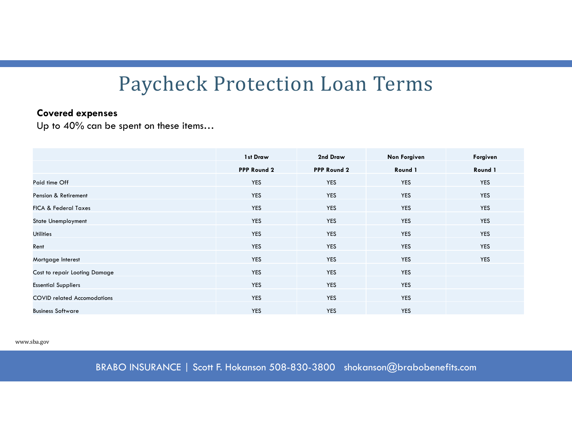#### **Covered expenses**

Up to 40% can be spent on these items…

|                                    | 1st Draw    | 2nd Draw           | <b>Non Forgiven</b> | Forgiven   |
|------------------------------------|-------------|--------------------|---------------------|------------|
|                                    | PPP Round 2 | <b>PPP Round 2</b> | Round 1             | Round 1    |
| Paid time Off                      | YES         | <b>YES</b>         | <b>YES</b>          | YES        |
| Pension & Retirement               | YES         | <b>YES</b>         | YES                 | YES        |
| <b>FICA &amp; Federal Taxes</b>    | <b>YES</b>  | <b>YES</b>         | <b>YES</b>          | <b>YES</b> |
| <b>State Unemployment</b>          | <b>YES</b>  | <b>YES</b>         | <b>YES</b>          | <b>YES</b> |
| <b>Utilities</b>                   | YES         | <b>YES</b>         | YES                 | YES        |
| Rent                               | <b>YES</b>  | <b>YES</b>         | <b>YES</b>          | <b>YES</b> |
| Mortgage Interest                  | <b>YES</b>  | <b>YES</b>         | <b>YES</b>          | <b>YES</b> |
| Cost to repair Looting Damage      | <b>YES</b>  | <b>YES</b>         | YES                 |            |
| <b>Essential Suppliers</b>         | YES         | <b>YES</b>         | YES                 |            |
| <b>COVID related Accomodations</b> | <b>YES</b>  | <b>YES</b>         | <b>YES</b>          |            |
| <b>Business Software</b>           | <b>YES</b>  | <b>YES</b>         | <b>YES</b>          |            |

www.sba.gov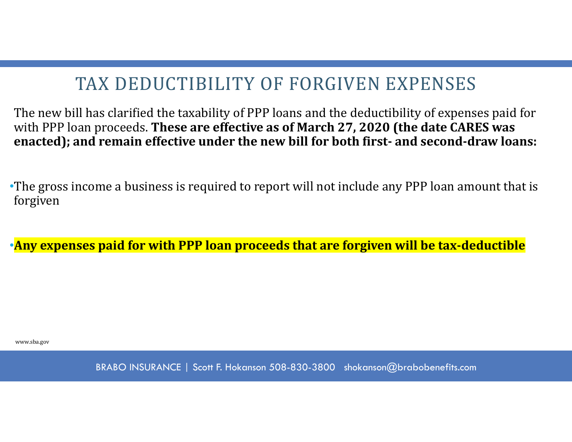### TAX DEDUCTIBILITY OF FORGIVEN EXPENSES

The new bill has clarified the taxability of PPP loans and the deductibility of expenses paid for with PPP loan proceeds. **These are effective as of March 27, 2020 (the date CARES was enacted); and remain effective under the new bill for both first‐ and second‐draw loans:**

•The gross income a business is required to report will not include any PPP loan amount that is forgiven

•**Any expenses paid for with PPP loan proceeds that are forgiven will be tax‐deductible**

www.sba.gov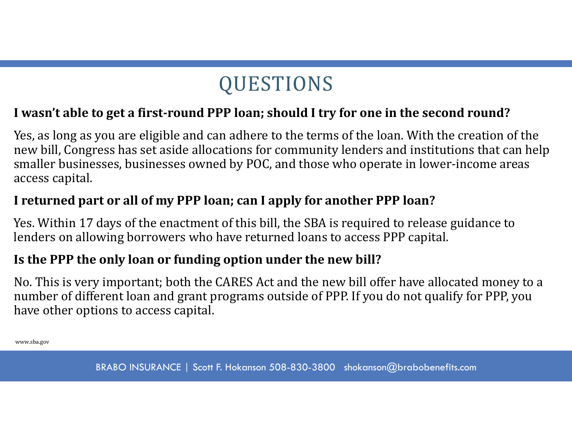## QUESTIONS

#### I wasn't able to get a first-round PPP loan; should I try for one in the second round?

Yes, as long as you are eligible and can adhere to the terms of the loan. With the creation of the new bill, Congress has set aside allocations for community lenders and institutions that can help smaller businesses, businesses owned by POC, and those who operate in lower-income areas access capital.

#### **I returned part or all of my PPP loan; can I apply for another PPP loan?**

Yes. Within 17 days of the enactment of this bill, the SBA is required to release guidance to lenders on allowing borrowers who have returned loans to access PPP capital.

#### **Is the PPP the only loan or funding option under the new bill?**

No. This is very important; both the CARES Act and the new bill offer have allocated money to a number of different loan and grant programs outside of PPP. If you do not qualify for PPP, you have other options to access capital.

www.sba.gov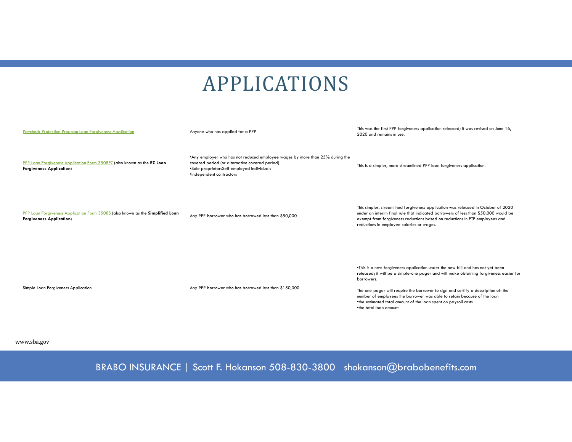## APPLICATIONS

| Paycheck Protection Program Loan Forgiveness Application                                                           | Anyone who has applied for a PPP                                                                                                                                                                         | This was the first PPP forgiveness application released; it was revised on June 16,<br>2020 and remains in use.                                                                                                                                                                                                                                                                                                                                     |
|--------------------------------------------------------------------------------------------------------------------|----------------------------------------------------------------------------------------------------------------------------------------------------------------------------------------------------------|-----------------------------------------------------------------------------------------------------------------------------------------------------------------------------------------------------------------------------------------------------------------------------------------------------------------------------------------------------------------------------------------------------------------------------------------------------|
| PPP Loan Forgiveness Application Form 3508EZ (also known as the EZ Loan<br><b>Forgiveness Application)</b>         | *Any employer who has not reduced employee wages by more than 25% during the<br>covered period (or alternative covered period)<br>*Sole proprietorsSelf-employed individuals<br>·Independent contractors | This is a simpler, more streamlined PPP loan forgiveness application.                                                                                                                                                                                                                                                                                                                                                                               |
| PPP Loan Forgiveness Application Form 3508S (also known as the Simplified Loan<br><b>Forgiveness Application</b> ) | Any PPP borrower who has borrowed less than \$50,000                                                                                                                                                     | This simpler, streamlined forgiveness application was released in October of 2020<br>under an interim final rule that indicated borrowers of less than \$50,000 would be<br>exempt from forgiveness reductions based on reductions in FTE employees and<br>reductions in employee salaries or wages.                                                                                                                                                |
| Simple Loan Forgiveness Application                                                                                | Any PPP borrower who has borrowed less than \$150,000                                                                                                                                                    | . This is a new forgiveness application under the new bill and has not yet been<br>released; it will be a simple-one pager and will make obtaining forgiveness easier for<br>borrowers.<br>The one-pager will require the borrower to sign and certify a description of: the<br>number of employees the borrower was able to retain because of the loan<br>*the estimated total amount of the loan spent on payroll costs<br>*the total loan amount |

www.sba.gov